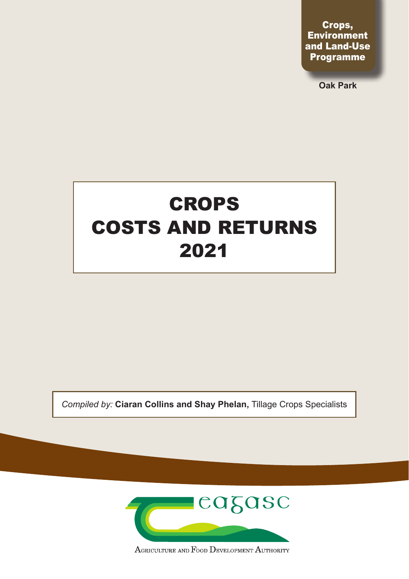Crops, **Environment** and Land-Use Programme

**Oak Park**

# CROPS COSTS AND RETURNS 2021

*Compiled by:* **Ciaran Collins and Shay Phelan,** Tillage Crops Specialists



AGRICULTURE AND FOOD DEVELOPMENT AUTHORITY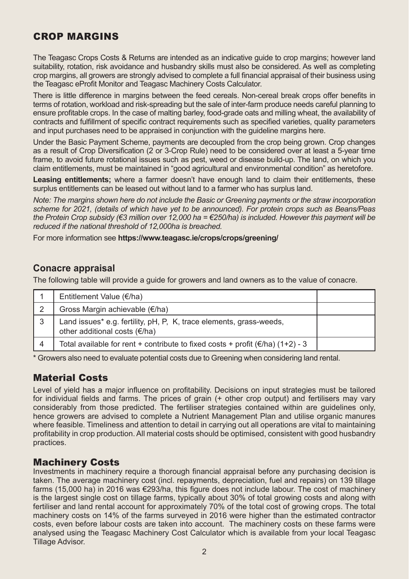### CROP MARGINS

The Teagasc Crops Costs & Returns are intended as an indicative guide to crop margins; however land suitability, rotation, risk avoidance and husbandry skills must also be considered. As well as completing crop margins, all growers are strongly advised to complete a full financial appraisal of their business using the Teagasc eProfit Monitor and Teagasc Machinery Costs Calculator.

There is little difference in margins between the feed cereals. Non-cereal break crops offer benefits in terms of rotation, workload and risk-spreading but the sale of inter-farm produce needs careful planning to ensure profitable crops. In the case of malting barley, food-grade oats and milling wheat, the availability of contracts and fulfillment of specific contract requirements such as specified varieties, quality parameters and input purchases need to be appraised in conjunction with the guideline margins here.

Under the Basic Payment Scheme, payments are decoupled from the crop being grown. Crop changes as a result of Crop Diversification (2 or 3-Crop Rule) need to be considered over at least a 5-year time frame, to avoid future rotational issues such as pest, weed or disease build-up. The land, on which you claim entitlements, must be maintained in "good agricultural and environmental condition" as heretofore.

Leasing entitlements; where a farmer doesn't have enough land to claim their entitlements, these surplus entitlements can be leased out without land to a farmer who has surplus land.

*Note: The margins shown here do not include the Basic or Greening payments or the straw incorporation scheme for 2021, (details of which have yet to be announced). For protein crops such as Beans/Peas the Protein Crop subsidy (€3 million over 12,000 ha = €250/ha) is included. However this payment will be reduced if the national threshold of 12,000ha is breached.*

For more information see **https://www.teagasc.ie/crops/crops/greening/**

### **Conacre appraisal**

The following table will provide a guide for growers and land owners as to the value of conacre.

| Entitlement Value (€/ha)                                                                             |  |
|------------------------------------------------------------------------------------------------------|--|
| Gross Margin achievable (€/ha)                                                                       |  |
| Land issues* e.g. fertility, pH, P, K, trace elements, grass-weeds,<br>other additional costs (€/ha) |  |
| Total available for rent + contribute to fixed costs + profit $(\epsilon/\hbar a)$ (1+2) - 3         |  |

\* Growers also need to evaluate potential costs due to Greening when considering land rental.

### Material Costs

Level of yield has a major influence on profitability. Decisions on input strategies must be tailored for individual fields and farms. The prices of grain (+ other crop output) and fertilisers may vary considerably from those predicted. The fertiliser strategies contained within are guidelines only, hence growers are advised to complete a Nutrient Management Plan and utilise organic manures where feasible. Timeliness and attention to detail in carrying out all operations are vital to maintaining profitability in crop production. All material costs should be optimised, consistent with good husbandry practices.

### Machinery Costs

Investments in machinery require a thorough financial appraisal before any purchasing decision is taken. The average machinery cost (incl. repayments, depreciation, fuel and repairs) on 139 tillage farms (15,000 ha) in 2016 was €293/ha, this figure does not include labour. The cost of machinery is the largest single cost on tillage farms, typically about 30% of total growing costs and along with fertiliser and land rental account for approximately 70% of the total cost of growing crops. The total machinery costs on 14% of the farms surveyed in 2016 were higher than the estimated contractor costs, even before labour costs are taken into account. The machinery costs on these farms were analysed using the Teagasc Machinery Cost Calculator which is available from your local Teagasc Tillage Advisor.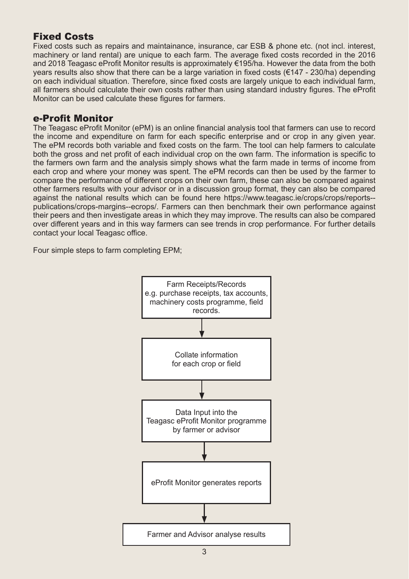### Fixed Costs

Fixed costs such as repairs and maintainance, insurance, car ESB & phone etc. (not incl. interest, machinery or land rental) are unique to each farm. The average fixed costs recorded in the 2016 and 2018 Teagasc eProfit Monitor results is approximately €195/ha. However the data from the both years results also show that there can be a large variation in fixed costs ( $€147 - 230/h$ a) depending on each individual situation. Therefore, since fixed costs are largely unique to each individual farm, all farmers should calculate their own costs rather than using standard industry figures. The eProfit Monitor can be used calculate these figures for farmers.

#### e-Profit Monitor

The Teagasc eProfit Monitor (ePM) is an online financial analysis tool that farmers can use to record the income and expenditure on farm for each specific enterprise and or crop in any given year. The ePM records both variable and fixed costs on the farm. The tool can help farmers to calculate both the gross and net profit of each individual crop on the own farm. The information is specific to the farmers own farm and the analysis simply shows what the farm made in terms of income from each crop and where your money was spent. The ePM records can then be used by the farmer to compare the performance of different crops on their own farm, these can also be compared against other farmers results with your advisor or in a discussion group format, they can also be compared against the national results which can be found here https://www.teagasc.ie/crops/crops/reports- publications/crops-margins--ecrops/. Farmers can then benchmark their own performance against their peers and then investigate areas in which they may improve. The results can also be compared over different years and in this way farmers can see trends in crop performance. For further details contact your local Teagasc office.

Four simple steps to farm completing EPM;

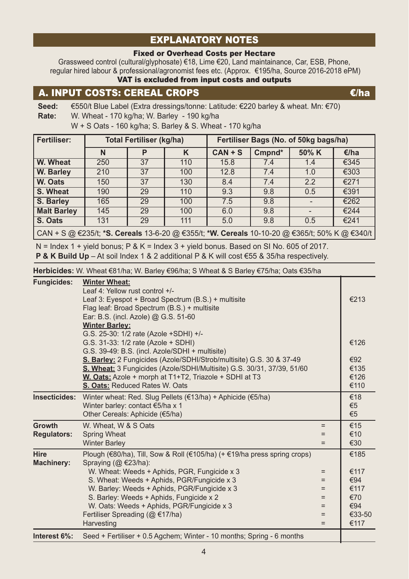### EXPLANATORY NOTES

#### Fixed or Overhead Costs per Hectare

Grassweed control (cultural/glyphosate) €18, Lime €20, Land maintainance, Car, ESB, Phone, regular hired labour & professional/agronomist fees etc. (Approx. €195/ha, Source 2016-2018 ePM) VAT is excluded from input costs and outputs

### A. INPUT COSTS: CEREAL CROPS  $\epsilon/h$

**Seed:** €550/t Blue Label (Extra dressings/tonne: Latitude: €220 barley & wheat. Mn: €70) **Rate:** W. Wheat - 170 kg/ha; W. Barley - 190 kg/ha

W + S Oats - 160 kg/ha; S. Barley & S. Wheat - 170 kg/ha

| <b>Fertiliser:</b>                                                                                            |     | <b>Total Fertiliser (kg/ha)</b> |     | Fertiliser Bags (No. of 50kg bags/ha) |        |       |      |  |
|---------------------------------------------------------------------------------------------------------------|-----|---------------------------------|-----|---------------------------------------|--------|-------|------|--|
|                                                                                                               | N   | P                               |     | $CAN + S$                             | Cmpnd* | 50% K | €/ha |  |
| W. Wheat                                                                                                      | 250 | 37                              | 110 | 15.8                                  | 7.4    | 1.4   | €345 |  |
| W. Barley                                                                                                     | 210 | 37                              | 100 | 12.8                                  | 7.4    | 1.0   | €303 |  |
| W. Oats                                                                                                       | 150 | 37                              | 130 | 8.4                                   | 7.4    | 2.2   | €271 |  |
| S. Wheat                                                                                                      | 190 | 29                              | 110 | 9.3                                   | 9.8    | 0.5   | €391 |  |
| S. Barley                                                                                                     | 165 | 29                              | 100 | 7.5                                   | 9.8    |       | €262 |  |
| <b>Malt Barley</b>                                                                                            | 145 | 29                              | 100 | 6.0                                   | 9.8    |       | €244 |  |
| S. Oats                                                                                                       | 131 | 29                              | 111 | 5.0                                   | 9.8    | 0.5   | €241 |  |
| CAN + S @ €235/t; * <b>S. Cereals</b> 13-6-20 @ €355/t; * <b>W. Cereals</b> 10-10-20 @ €365/t; 50% K @ €340/t |     |                                 |     |                                       |        |       |      |  |

 $N =$  Index 1 + yield bonus; P & K = Index 3 + yield bonus. Based on SI No. 605 of 2017. **P & K Build Up** – At soil Index 1 & 2 additional P & K will cost €55 & 35/ha respectively.

**Herbicides:** W. Wheat €81/ha; W. Barley €96/ha; S Wheat & S Barley €75/ha; Oats €35/ha

| <b>Fungicides:</b>           | <b>Winter Wheat:</b><br>Leaf 4: Yellow rust control +/-<br>Leaf 3: Eyespot + Broad Spectrum (B.S.) + multisite<br>Flag leaf: Broad Spectrum (B.S.) + multisite<br>Ear: B.S. (incl. Azole) @ G.S. 51-60                                                                                                                                                                                                         |                                               | €213                                                        |
|------------------------------|----------------------------------------------------------------------------------------------------------------------------------------------------------------------------------------------------------------------------------------------------------------------------------------------------------------------------------------------------------------------------------------------------------------|-----------------------------------------------|-------------------------------------------------------------|
|                              | <b>Winter Barley:</b><br>G.S. 25-30: 1/2 rate (Azole +SDHI) +/-<br>G.S. 31-33: 1/2 rate (Azole + SDHI)<br>G.S. 39-49: B.S. (incl. Azole/SDHI + multisite)<br>S. Barley: 2 Fungicides (Azole/SDHI/Strob/multisite) G.S. 30 & 37-49<br>S. Wheat: 3 Fungicides (Azole/SDHI/Multisite) G.S. 30/31, 37/39, 51/60<br>W. Oats: Azole + morph at T1+T2, Triazole + SDHI at T3<br><b>S. Oats: Reduced Rates W. Oats</b> |                                               | €126<br>€92<br>€135<br>€126<br>€110                         |
| Insecticides:                | Winter wheat: Red. Slug Pellets ( $\in$ 13/ha) + Aphicide ( $\in$ 5/ha)<br>Winter barley: contact €5/ha x 1<br>Other Cereals: Aphicide (€5/ha)                                                                                                                                                                                                                                                                 |                                               | €18<br>€5<br>€5                                             |
| Growth<br><b>Regulators:</b> | W. Wheat, W & S Oats<br><b>Spring Wheat</b><br><b>Winter Barley</b>                                                                                                                                                                                                                                                                                                                                            | $=$<br>$=$<br>$=$                             | €15<br>€10<br>€30                                           |
| Hire<br><b>Machinery:</b>    | Plough (€80/ha), Till, Sow & Roll (€105/ha) (+ €19/ha press spring crops)<br>Spraying $(Q \in 23/ha)$ :<br>W. Wheat: Weeds + Aphids, PGR, Fungicide x 3<br>S. Wheat: Weeds + Aphids, PGR/Fungicide x 3<br>W. Barley: Weeds + Aphids, PGR/Fungicide x 3<br>S. Barley: Weeds + Aphids, Fungicide x 2<br>W. Oats: Weeds + Aphids, PGR/Fungicide x 3<br>Fertiliser Spreading (@ €17/ha)<br>Harvesting              | $=$<br>$=$<br>$=$<br>$=$<br>$=$<br>$=$<br>$=$ | €185<br>€117<br>€94<br>€117<br>€70<br>€94<br>€33-50<br>€117 |
| Interest 6%:                 | Seed + Fertiliser + 0.5 Agchem; Winter - 10 months; Spring - 6 months                                                                                                                                                                                                                                                                                                                                          |                                               |                                                             |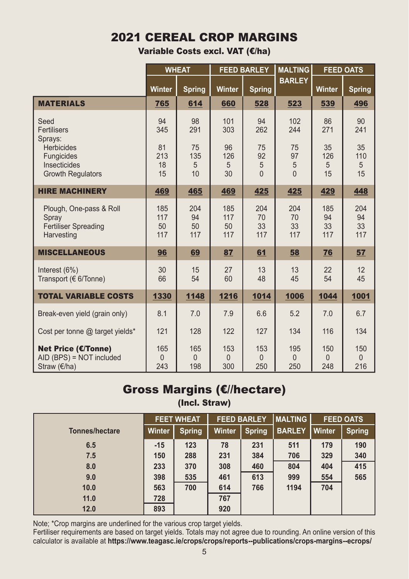# 2021 CEREAL CROP MARGINS

Variable Costs excl. VAT (€/ha)

|                                                                               |                         | <b>WHEAT</b>           |                         | <b>FEED BARLEY</b>     | <b>MALTING</b>         |                            | <b>FEED OATS</b>       |
|-------------------------------------------------------------------------------|-------------------------|------------------------|-------------------------|------------------------|------------------------|----------------------------|------------------------|
|                                                                               | Winter                  | <b>Spring</b>          | <b>Winter</b>           | <b>Spring</b>          | <b>BARLEY</b>          | <b>Winter</b>              | <b>Spring</b>          |
| <b>MATERIALS</b>                                                              | 765                     | 614                    | 660                     | 528                    | 523                    | 539                        | 496                    |
| Seed<br>Fertilisers<br>Sprays:                                                | 94<br>345               | 98<br>291              | 101<br>303              | 94<br>262              | 102<br>244             | 86<br>271                  | 90<br>241              |
| <b>Herbicides</b><br>Fungicides                                               | 81<br>213               | 75<br>135              | 96<br>126               | 75<br>92               | 75<br>97               | 35<br>126                  | 35<br>110              |
| Insecticides                                                                  | 18                      | 5                      | 5                       | 5                      | 5                      | 5                          | 5                      |
| <b>Growth Regulators</b>                                                      | 15                      | 10                     | 30                      | $\Omega$               | $\Omega$               | 15                         | 15                     |
| <b>HIRE MACHINERY</b>                                                         | 469                     | 465                    | 469                     | 425                    | 425                    | 429                        | 448                    |
| Plough, One-pass & Roll<br>Spray<br><b>Fertiliser Spreading</b><br>Harvesting | 185<br>117<br>50<br>117 | 204<br>94<br>50<br>117 | 185<br>117<br>50<br>117 | 204<br>70<br>33<br>117 | 204<br>70<br>33<br>117 | 185<br>94<br>33<br>117     | 204<br>94<br>33<br>117 |
| <b>MISCELLANEOUS</b>                                                          | 96                      | 69                     | 87                      | 61                     | 58                     | 76                         | 57                     |
| Interest $(6%)$<br>Transport ( $\in$ 6/Tonne)                                 | 30<br>66                | 15<br>54               | 27<br>60                | 13<br>48               | 13<br>45               | 22<br>54                   | 12<br>45               |
| <b>TOTAL VARIABLE COSTS</b>                                                   | 1330                    | 1148                   | 1216                    | 1014                   | 1006                   | 1044                       | 1001                   |
| Break-even yield (grain only)                                                 | 8.1                     | 7.0                    | 7.9                     | 6.6                    | 5.2                    | 7.0                        | 6.7                    |
| Cost per tonne @ target yields*                                               | 121                     | 128                    | 122                     | 127                    | 134                    | 116                        | 134                    |
| <b>Net Price (€/Tonne)</b><br>AID (BPS) = NOT included<br>Straw (€/ha)        | 165<br>$\Omega$<br>243  | 165<br>$\theta$<br>198 | 153<br>$\theta$<br>300  | 153<br>$\Omega$<br>250 | 195<br>$\Omega$<br>250 | 150<br>$\mathbf{0}$<br>248 | 150<br>$\Omega$<br>216 |

# Gross Margins (€//hectare)

(Incl. Straw)

|                | <b>FEET WHEAT</b> |               | <b>FEED BARLEY</b> |               | <b>IMALTING</b> | <b>FEED OATS</b> |               |
|----------------|-------------------|---------------|--------------------|---------------|-----------------|------------------|---------------|
| Tonnes/hectare | <b>Winter</b>     | <b>Spring</b> | Winter             | <b>Spring</b> | <b>BARLEY</b>   | l Winter         | <b>Spring</b> |
| 6.5            | $-15$             | 123           | 78                 | 231           | 511             | 179              | 190           |
| 7.5            | 150               | 288           | 231                | 384           | 706             | 329              | 340           |
| 8.0            | 233               | 370           | 308                | 460           | 804             | 404              | 415           |
| 9.0            | 398               | 535           | 461                | 613           | 999             | 554              | 565           |
| 10.0           | 563               | 700           | 614                | 766           | 1194            | 704              |               |
| 11.0           | 728               |               | 767                |               |                 |                  |               |
| 12.0           | 893               |               | 920                |               |                 |                  |               |

Note; \*Crop margins are underlined for the various crop target yields.

Fertiliser requirements are based on target yields. Totals may not agree due to rounding. An online version of this calculator is available at **https://www.teagasc.ie/crops/crops/reports--publications/crops-margins--ecrops/**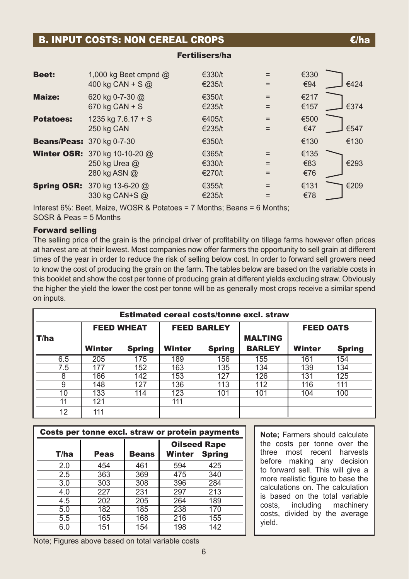|                                  | <b>B. INPUT COSTS: NON CEREAL CROPS</b>                               |                            |     | €/ha                       |
|----------------------------------|-----------------------------------------------------------------------|----------------------------|-----|----------------------------|
|                                  |                                                                       | <b>Fertilisers/ha</b>      |     |                            |
| <b>Beet:</b>                     | 1,000 kg Beet cmpnd $@$<br>400 kg CAN + S $@$                         | €330/t<br>€235/t           |     | €330<br>€94<br>€424        |
| <b>Maize:</b>                    | 620 kg 0-7-30 @<br>$670$ kg CAN + S                                   | €350/t<br>€235/t           |     | €217<br>€374<br>€157       |
| <b>Potatoes:</b>                 | 1235 kg $7.6.17 + S$<br>250 kg CAN                                    | €405/t<br>€235/t           |     | €500<br>€47<br>€547        |
| <b>Beans/Peas: 370 kg 0-7-30</b> |                                                                       | €350/t                     |     | €130<br>€130               |
|                                  | <b>Winter OSR:</b> 370 kg 10-10-20 @<br>250 kg Urea @<br>280 kg ASN @ | €365/t<br>€330/t<br>€270/t | $=$ | €135<br>€293<br>€83<br>€76 |
|                                  | <b>Spring OSR:</b> 370 kg 13-6-20 @<br>330 kg CAN+S @                 | €355/t<br>€235/t           |     | €131<br>€209<br>€78        |

Interest 6%: Beet, Maize, WOSR & Potatoes = 7 Months; Beans = 6 Months; SOSR & Peas = 5 Months

#### Forward selling

The selling price of the grain is the principal driver of profitability on tillage farms however often prices at harvest are at their lowest. Most companies now offer farmers the opportunity to sell grain at different times of the year in order to reduce the risk of selling below cost. In order to forward sell growers need to know the cost of producing the grain on the farm. The tables below are based on the variable costs in this booklet and show the cost per tonne of producing grain at different yields excluding straw. Obviously the higher the yield the lower the cost per tonne will be as generally most crops receive a similar spend on inputs.

| <b>Estimated cereal costs/tonne excl. straw</b> |        |                   |        |                    |                                 |                  |               |  |  |  |  |
|-------------------------------------------------|--------|-------------------|--------|--------------------|---------------------------------|------------------|---------------|--|--|--|--|
|                                                 |        | <b>FEED WHEAT</b> |        | <b>FEED BARLEY</b> |                                 | <b>FEED OATS</b> |               |  |  |  |  |
| T/ha                                            | Winter | <b>Spring</b>     | Winter | Spring             | <b>MALTING</b><br><b>BARLEY</b> | Winter           | <b>Spring</b> |  |  |  |  |
|                                                 |        |                   |        |                    |                                 |                  |               |  |  |  |  |
| 6.5                                             | 205    | 175               | 189    | 156                | 155                             | 161              | 154           |  |  |  |  |
| 7.5                                             | 177    | 152               | 163    | 135                | 134                             | 139              | 134           |  |  |  |  |
| 8                                               | 166    | 142               | 153    | 127                | 126                             | 131              | 125           |  |  |  |  |
| 9                                               | 148    | 127               | 136    | 113                | 112                             | 116              | 111           |  |  |  |  |
| 10                                              | 133    | 114               | 123    | 101                | 101                             | 104              | 100           |  |  |  |  |
| 11                                              | 121    |                   | 111    |                    |                                 |                  |               |  |  |  |  |
| 12                                              | 111    |                   |        |                    |                                 |                  |               |  |  |  |  |

| Costs per tonne excl. straw or protein payments |      |              |                     |               |  |  |  |  |  |
|-------------------------------------------------|------|--------------|---------------------|---------------|--|--|--|--|--|
|                                                 |      |              | <b>Oilseed Rape</b> |               |  |  |  |  |  |
| T/ha                                            | Peas | <b>Beans</b> | <b>Winter</b>       | <b>Spring</b> |  |  |  |  |  |
| 2.0                                             | 454  | 461          | 594                 | 425           |  |  |  |  |  |
| 2.5                                             | 363  | 369          | 475                 | 340           |  |  |  |  |  |
| 3.0                                             | 303  | 308          | 396                 | 284           |  |  |  |  |  |
| 4.0                                             | 227  | 231          | 297                 | 213           |  |  |  |  |  |
| 4.5                                             | 202  | 205          | 264                 | 189           |  |  |  |  |  |
| 5.0                                             | 182  | 185          | 238                 | 170           |  |  |  |  |  |
| 5.5                                             | 165  | 168          | 216                 | 155           |  |  |  |  |  |
| 6.0                                             | 151  | 154          | 198                 | 142           |  |  |  |  |  |

**Note;** Farmers should calculate the costs per tonne over the three most recent harvests before making any decision to forward sell. This will give a more realistic figure to base the calculations on. The calculation is based on the total variable<br>costs. including machinery costs, including machinery costs, divided by the average yield.

Note; Figures above based on total variable costs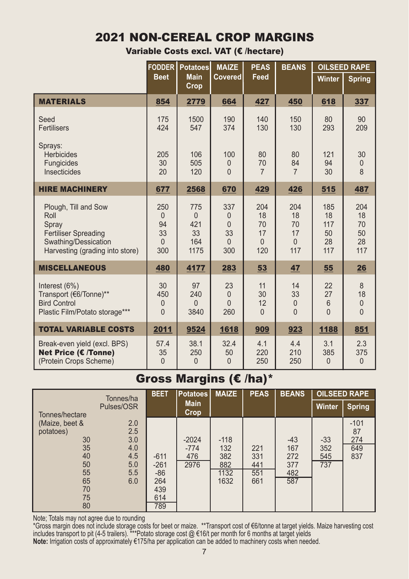### 2021 NON-CEREAL CROP MARGINS

Variable Costs excl. VAT (€ /hectare)

|                                                                                                                                 | <b>FODDER</b>                                      | <b>Potatoes</b>                                 | <b>MAIZE</b>                                         | <b>PEAS</b>                              | <b>BEANS</b>                                   |                                        | <b>OILSEED RAPE</b>                |
|---------------------------------------------------------------------------------------------------------------------------------|----------------------------------------------------|-------------------------------------------------|------------------------------------------------------|------------------------------------------|------------------------------------------------|----------------------------------------|------------------------------------|
|                                                                                                                                 | <b>Beet</b>                                        | <b>Main</b><br>Crop                             | Covered                                              | Feed                                     |                                                | <b>Winter</b>                          | <b>Spring</b>                      |
| <b>MATERIALS</b>                                                                                                                | 854                                                | 2779                                            | 664                                                  | 427                                      | 450                                            | 618                                    | 337                                |
| Seed<br><b>Fertilisers</b>                                                                                                      | 175<br>424                                         | 1500<br>547                                     | 190<br>374                                           | 140<br>130                               | 150<br>130                                     | 80<br>293                              | 90<br>209                          |
| Sprays:<br><b>Herbicides</b><br>Fungicides<br>Insecticides                                                                      | 205<br>30<br>20                                    | 106<br>505<br>120                               | 100<br>$\theta$<br>$\Omega$                          | 80<br>70<br>$\overline{7}$               | 80<br>84<br>$\overline{7}$                     | 121<br>94<br>30                        | 30<br>$\mathbf{0}$<br>$\mathsf{8}$ |
| <b>HIRE MACHINERY</b>                                                                                                           | 677                                                | 2568                                            | 670                                                  | 429                                      | 426                                            | 515                                    | 487                                |
| Plough, Till and Sow<br>Roll<br>Spray<br><b>Fertiliser Spreading</b><br>Swathing/Dessication<br>Harvesting (grading into store) | 250<br>$\mathbf{0}$<br>94<br>33<br>$\Omega$<br>300 | 775<br>$\mathbf{0}$<br>421<br>33<br>164<br>1175 | 337<br>$\theta$<br>$\Omega$<br>33<br>$\Omega$<br>300 | 204<br>18<br>70<br>17<br>$\Omega$<br>120 | 204<br>18<br>70<br>17<br>$\overline{0}$<br>117 | 185<br>18<br>117<br>50<br>28<br>117    | 204<br>18<br>70<br>50<br>28<br>117 |
| <b>MISCELLANEOUS</b>                                                                                                            | 480                                                | 4177                                            | 283                                                  | 53                                       | 47                                             | 55                                     | 26                                 |
| Interest (6%)<br>Transport (€6/Tonne)**<br><b>Bird Control</b><br>Plastic Film/Potato storage***                                | 30<br>450<br>$\mathbf{0}$<br>$\Omega$              | 97<br>240<br>$\theta$<br>3840                   | 23<br>$\Omega$<br>$\Omega$<br>260                    | 11<br>30<br>12<br>$\Omega$               | 14<br>33<br>$\overline{0}$<br>$\Omega$         | 22<br>27<br>$6\phantom{1}$<br>$\Omega$ | 8<br>18<br>$\mathbf 0$<br>$\Omega$ |
| <b>TOTAL VARIABLE COSTS</b>                                                                                                     | 2011                                               | 9524                                            | 1618                                                 | 909                                      | 923                                            | 1188                                   | 851                                |
| Break-even yield (excl. BPS)<br>Net Price (€ /Tonne)<br>(Protein Crops Scheme)                                                  | 57.4<br>35<br>$\overline{0}$                       | 38.1<br>250<br>$\Omega$                         | 32.4<br>50<br>$\Omega$                               | 4.1<br>220<br>250                        | 4.4<br>210<br>250                              | 3.1<br>385<br>$\Omega$                 | 2.3<br>375<br>$\theta$             |

### Gross Margins (€ /ha)\*

| Tonnes/ha<br>Pulses/OSR<br>Tonnes/hectare<br>(Maize, beet &<br>2.0        |                                                | <b>Main</b>           |                                   |                                 |                                 |                   |                     |
|---------------------------------------------------------------------------|------------------------------------------------|-----------------------|-----------------------------------|---------------------------------|---------------------------------|-------------------|---------------------|
|                                                                           |                                                | Crop                  |                                   |                                 |                                 | <b>Winter</b>     | <b>Spring</b>       |
| 2.5<br>potatoes)<br>3.0<br>30                                             |                                                | $-2024$               | $-118$                            |                                 | $-43$                           | $-33$             | $-101$<br>87<br>274 |
| 35<br>4.0<br>40<br>4.5<br>50<br>5.0<br>55<br>5.5<br>65<br>6.0<br>70<br>75 | $-611$<br>$-261$<br>$-86$<br>264<br>439<br>614 | $-774$<br>476<br>2976 | 132<br>382<br>882<br>1132<br>1632 | 221<br>331<br>441<br>551<br>661 | 167<br>272<br>377<br>482<br>587 | 352<br>545<br>737 | 649<br>837          |

Note; Totals may not agree due to rounding

\*Gross margin does not include storage costs for beet or maize. \*\*Transport cost of €6/tonne at target yields. Maize harvesting cost includes transport to pit (4-5 trailers). \*\*\*Potato storage cost @ €16/t per month for 6 months at target yields

**Note:** Irrigation costs of approximately €175/ha per application can be added to machinery costs when needed.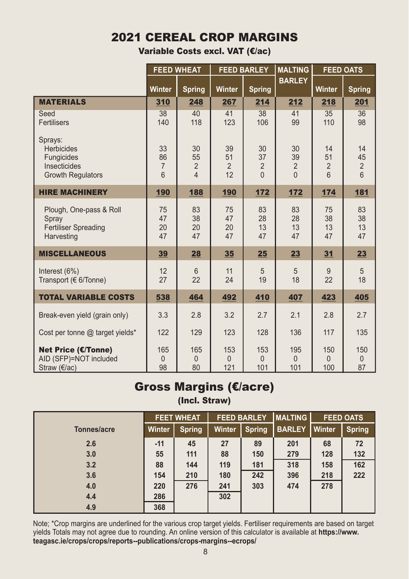# 2021 CEREAL CROP MARGINS

Variable Costs excl. VAT (€/ac)

|                                                                                        |                                 | <b>FEED WHEAT</b>               |                                  | <b>FEED BARLEY</b>                     | <b>MALTING</b>                         |                                               | <b>FEED OATS</b>                |
|----------------------------------------------------------------------------------------|---------------------------------|---------------------------------|----------------------------------|----------------------------------------|----------------------------------------|-----------------------------------------------|---------------------------------|
|                                                                                        | Winter                          | <b>Spring</b>                   | <b>Winter</b>                    | <b>Spring</b>                          | <b>BARLEY</b>                          | Winter                                        | <b>Spring</b>                   |
| <b>MATERIALS</b>                                                                       | 310                             | 248                             | 267                              | 214                                    | 212                                    | 218                                           | 201                             |
| Seed<br><b>Fertilisers</b>                                                             | 38<br>140                       | 40<br>118                       | 41<br>123                        | 38<br>106                              | 41<br>99                               | 35<br>110                                     | 36<br>98                        |
| Sprays:<br><b>Herbicides</b><br>Fungicides<br>Insecticides<br><b>Growth Regulators</b> | 33<br>86<br>$\overline{7}$<br>6 | 30<br>55<br>$\overline{2}$<br>4 | 39<br>51<br>$\overline{2}$<br>12 | 30<br>37<br>$\overline{2}$<br>$\Omega$ | 30<br>39<br>$\overline{2}$<br>$\Omega$ | 14<br>51<br>$\overline{2}$<br>$6\overline{6}$ | 14<br>45<br>$\overline{2}$<br>6 |
| <b>HIRE MACHINERY</b>                                                                  | 190                             | 188                             | 190                              | 172                                    | 172                                    | 174                                           | 181                             |
| Plough, One-pass & Roll<br>Spray<br><b>Fertiliser Spreading</b><br>Harvesting          | 75<br>47<br>20<br>47            | 83<br>38<br>20<br>47            | 75<br>47<br>20<br>47             | 83<br>28<br>13<br>47                   | 83<br>28<br>13<br>47                   | 75<br>38<br>13<br>47                          | 83<br>38<br>13<br>47            |
| <b>MISCELLANEOUS</b>                                                                   | 39                              | 28                              | 35                               | 25                                     | 23                                     | 31                                            | 23                              |
| Interest $(6%)$<br>Transport (€ 6/Tonne)                                               | 12<br>27                        | 6<br>22                         | 11<br>24                         | 5<br>19                                | 5<br>18                                | 9<br>22                                       | 5<br>18                         |
| <b>TOTAL VARIABLE COSTS</b>                                                            | 538                             | 464                             | 492                              | 410                                    | 407                                    | 423                                           | 405                             |
| Break-even yield (grain only)                                                          | 3.3                             | 2.8                             | 3.2                              | 2.7                                    | 2.1                                    | 2.8                                           | 2.7                             |
| Cost per tonne @ target yields*                                                        | 122                             | 129                             | 123                              | 128                                    | 136                                    | 117                                           | 135                             |
| <b>Net Price (€/Tonne)</b><br>AID (SFP)=NOT included<br>Straw $(\epsilon/ac)$          | 165<br>$\theta$<br>98           | 165<br>$\theta$<br>80           | 153<br>0<br>121                  | 153<br>$\Omega$<br>101                 | 195<br>$\Omega$<br>101                 | 150<br>$\overline{0}$<br>100                  | 150<br>$\Omega$<br>87           |

### Gross Margins (€/acre) (Incl. Straw)

|             |               | <b>FEET WHEAT</b> | <b>FEED BARLEY</b> |               | <b>IMALTING</b> | <b>FEED OATS</b> |               |
|-------------|---------------|-------------------|--------------------|---------------|-----------------|------------------|---------------|
| Tonnes/acre | <b>Winter</b> | <b>Spring</b>     | Winter             | <b>Spring</b> | <b>BARLEY</b>   | Winter           | <b>Spring</b> |
| 2.6         | $-11$         | 45                | 27                 | 89            | 201             | 68               | 72            |
| 3.0         | 55            | 111               | 88                 | 150           | 279             | 128              | 132           |
| 3.2         | 88            | 144               | 119                | 181           | 318             | 158              | 162           |
| 3.6         | 154           | 210               | 180                | 242           | 396             | 218              | 222           |
| 4.0         | 220           | 276               | 241                | 303           | 474             | 278              |               |
| 4.4         | 286           |                   | 302                |               |                 |                  |               |
| 4.9         | 368           |                   |                    |               |                 |                  |               |

Note; \*Crop margins are underlined for the various crop target yields. Fertiliser requirements are based on target yields Totals may not agree due to rounding. An online version of this calculator is available at **https://www. teagasc.ie/crops/crops/reports--publications/crops-margins--ecrops/**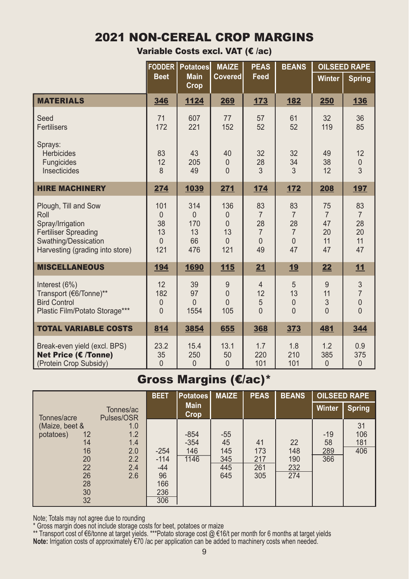# 2021 NON-CEREAL CROP MARGINS

Variable Costs excl. VAT (€ /ac)

|                                                                                                                                            | <b>FODDER</b>                                  | <b>Potatoes</b><br><b>MAIZE</b>               |                                                              | <b>PEAS</b>                                                    | <b>BEANS</b>                                                       | <b>OILSEED RAPE</b>                          |                                                |
|--------------------------------------------------------------------------------------------------------------------------------------------|------------------------------------------------|-----------------------------------------------|--------------------------------------------------------------|----------------------------------------------------------------|--------------------------------------------------------------------|----------------------------------------------|------------------------------------------------|
|                                                                                                                                            | <b>Beet</b>                                    | <b>Main</b><br>Crop                           | Covered                                                      | Feed                                                           |                                                                    | Winter                                       | <b>Spring</b>                                  |
| <b>MATERIALS</b>                                                                                                                           | 346                                            | 1124                                          | 269                                                          | 173                                                            | 182                                                                | 250                                          | 136                                            |
| Seed<br>Fertilisers                                                                                                                        | 71<br>172                                      | 607<br>221                                    | 77<br>152                                                    | 57<br>52                                                       | 61<br>52                                                           | 32<br>119                                    | 36<br>85                                       |
| Sprays:<br><b>Herbicides</b><br>Fungicides<br>Insecticides                                                                                 | 83<br>12<br>$\mathsf{8}$                       | 43<br>205<br>49                               | 40<br>$\mathbf{0}$<br>$\Omega$                               | 32<br>28<br>3                                                  | 32<br>34<br>3                                                      | 49<br>38<br>12                               | 12<br>$\pmb{0}$<br>$\overline{3}$              |
| <b>HIRE MACHINERY</b>                                                                                                                      | 274                                            | 1039                                          | 271                                                          | 174                                                            | 172                                                                | 208                                          | 197                                            |
| Plough, Till and Sow<br>Roll<br>Spray/Irrigation<br><b>Fertiliser Spreading</b><br>Swathing/Dessication<br>Harvesting (grading into store) | 101<br>$\theta$<br>38<br>13<br>$\Omega$<br>121 | 314<br>$\mathbf{0}$<br>170<br>13<br>66<br>476 | 136<br>$\mathbf{0}$<br>$\Omega$<br>13<br>$\mathbf{0}$<br>121 | 83<br>$\overline{7}$<br>28<br>$\overline{7}$<br>$\Omega$<br>49 | 83<br>$\overline{7}$<br>28<br>$\overline{7}$<br>$\mathbf{0}$<br>47 | 75<br>$\overline{7}$<br>47<br>20<br>11<br>47 | 83<br>$\overline{7}$<br>28<br>20<br>11<br>47   |
| <b>MISCELLANEOUS</b>                                                                                                                       | 194                                            | 1690                                          | 115                                                          | 21                                                             | 19                                                                 | 22                                           | 11                                             |
| Interest (6%)<br>Transport (€6/Tonne)**<br><b>Bird Control</b><br>Plastic Film/Potato Storage***                                           | 12<br>182<br>$\mathbf 0$<br>$\overline{0}$     | 39<br>97<br>$\Omega$<br>1554                  | 9<br>$\overline{0}$<br>$\Omega$<br>105                       | $\overline{4}$<br>12<br>5<br>$\Omega$                          | 5<br>13<br>$\mathbf{0}$<br>$\Omega$                                | 9<br>11<br>3<br>$\Omega$                     | 3<br>$\overline{7}$<br>$\mathbf 0$<br>$\Omega$ |
| <b>TOTAL VARIABLE COSTS</b>                                                                                                                | 814                                            | 3854                                          | 655                                                          | 368                                                            | 373                                                                | 481                                          | 344                                            |
| Break-even yield (excl. BPS)<br>Net Price (€ /Tonne)<br>(Protein Crop Subsidy)                                                             | 23.2<br>35<br>$\Omega$                         | 15.4<br>250<br>$\mathbf{0}$                   | 13.1<br>50<br>$\overline{0}$                                 | 1.7<br>220<br>101                                              | 1.8<br>210<br>101                                                  | 1.2<br>385<br>$\mathbf{0}$                   | 0.9<br>375<br>$\mathbf{0}$                     |

# Gross Margins (€/ac)\*

|                                                                                   |                                               | <b>BEET</b>                                          | <b>Potatoes</b>                 | <b>MAIZE</b>                            | <b>PEAS</b>                    | <b>BEANS</b>                   |                           | <b>OILSEED RAPE</b>     |
|-----------------------------------------------------------------------------------|-----------------------------------------------|------------------------------------------------------|---------------------------------|-----------------------------------------|--------------------------------|--------------------------------|---------------------------|-------------------------|
| Tonnes/acre                                                                       | Tonnes/ac<br>Pulses/OSR                       |                                                      | <b>Main</b><br><b>Crop</b>      |                                         |                                |                                | <b>Winter</b>             | <b>Spring</b>           |
| (Maize, beet &<br>potatoes)<br>12<br>14<br>16<br>20<br>22<br>26<br>28<br>30<br>32 | 1.0<br>1.2<br>1.4<br>2.0<br>2.2<br>2.4<br>2.6 | $-254$<br>$-114$<br>$-44$<br>96<br>166<br>236<br>306 | $-854$<br>$-354$<br>146<br>1146 | $-55$<br>45<br>145<br>345<br>445<br>645 | 41<br>173<br>217<br>261<br>305 | 22<br>148<br>190<br>232<br>274 | $-19$<br>58<br>289<br>366 | 31<br>106<br>181<br>406 |

Note; Totals may not agree due to rounding

\* Gross margin does not include storage costs for beet, potatoes or maize

\*\* Transport cost of €6/tonne at target yields. \*\*\*Potato storage cost @ €16/t per month for 6 months at target yields **Note:** Irrigation costs of approximately €70 /ac per application can be added to machinery costs when needed.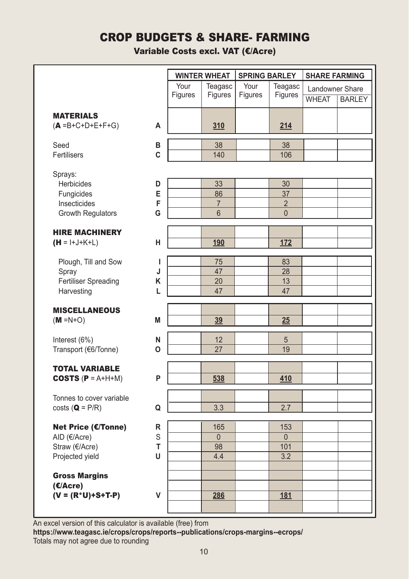### CROP BUDGETS & SHARE- FARMING

Variable Costs excl. VAT (€/Acre)

|                                       |   | <b>WINTER WHEAT</b><br>Your<br>Teagasc<br>Figures<br>Figures |                 | <b>SPRING BARLEY</b><br><b>SHARE FARMING</b> |                    |                 |               |
|---------------------------------------|---|--------------------------------------------------------------|-----------------|----------------------------------------------|--------------------|-----------------|---------------|
|                                       |   |                                                              |                 | Your<br>Figures                              | Teagasc<br>Figures | Landowner Share |               |
|                                       |   |                                                              |                 |                                              |                    | <b>WHEAT</b>    | <b>BARLEY</b> |
| <b>MATERIALS</b>                      |   |                                                              |                 |                                              |                    |                 |               |
| $(A = B + C + D + E + F + G)$         | A |                                                              | 310             |                                              | 214                |                 |               |
| Seed                                  | В |                                                              | 38              |                                              | 38                 |                 |               |
| Fertilisers                           | C |                                                              | 140             |                                              | 106                |                 |               |
| Sprays:                               |   |                                                              |                 |                                              |                    |                 |               |
| <b>Herbicides</b>                     | D |                                                              | 33              |                                              | 30                 |                 |               |
| Fungicides                            | E |                                                              | 86              |                                              | 37                 |                 |               |
| Insecticides                          | F |                                                              | $\overline{7}$  |                                              | $\overline{2}$     |                 |               |
| <b>Growth Regulators</b>              | G |                                                              | 6               |                                              | $\overline{0}$     |                 |               |
| <b>HIRE MACHINERY</b>                 |   |                                                              |                 |                                              |                    |                 |               |
| $(H = I+J+K+L)$                       | н |                                                              | 190             |                                              | 172                |                 |               |
| Plough, Till and Sow                  | т |                                                              | 75              |                                              | 83                 |                 |               |
| Spray                                 | J |                                                              | 47              |                                              | 28                 |                 |               |
| Fertiliser Spreading                  | Κ |                                                              | 20              |                                              | 13                 |                 |               |
| Harvesting                            | L |                                                              | 47              |                                              | 47                 |                 |               |
| <b>MISCELLANEOUS</b>                  |   |                                                              |                 |                                              |                    |                 |               |
| $(M = N + O)$                         | M |                                                              | 39              |                                              | 25                 |                 |               |
| Interest (6%)                         | N |                                                              | 12              |                                              | 5                  |                 |               |
| Transport (€6/Tonne)                  | O |                                                              | $\overline{27}$ |                                              | 19                 |                 |               |
| <b>TOTAL VARIABLE</b>                 |   |                                                              |                 |                                              |                    |                 |               |
| <b>COSTS (P = <math>A+H+M</math>)</b> | P |                                                              | 538             |                                              | 410                |                 |               |
| Tonnes to cover variable              |   |                                                              |                 |                                              |                    |                 |               |
| $costs$ ( $Q = P/R$ )                 | Q |                                                              | 3.3             |                                              | 2.7                |                 |               |
| Net Price (€/Tonne)                   | R |                                                              | 165             |                                              | 153                |                 |               |
| AID (€/Acre)                          | S |                                                              | $\overline{0}$  |                                              | $\overline{0}$     |                 |               |
| Straw (€/Acre)                        | T |                                                              | 98              |                                              | 101                |                 |               |
| Projected yield                       | U |                                                              | 4.4             |                                              | 3.2                |                 |               |
| <b>Gross Margins</b>                  |   |                                                              |                 |                                              |                    |                 |               |
| (E/Accre)                             |   |                                                              |                 |                                              |                    |                 |               |
| $(V = (R^*U) + S + T - P)$            | v |                                                              | 286             |                                              | <u>181</u>         |                 |               |
|                                       |   |                                                              |                 |                                              |                    |                 |               |

An excel version of this calculator is available (free) from **https://www.teagasc.ie/crops/crops/reports--publications/crops-margins--ecrops/** Totals may not agree due to rounding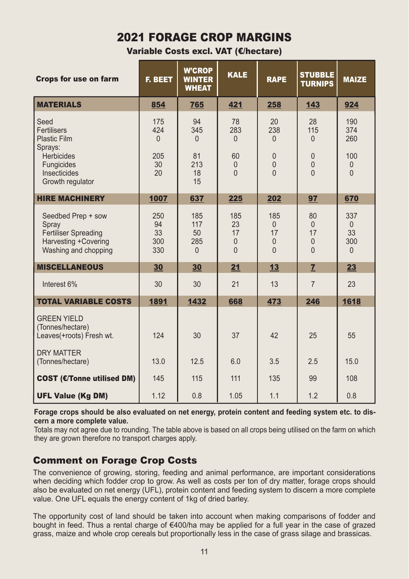### 2021 FORAGE CROP MARGINS

Variable Costs excl. VAT (€/hectare)

| <b>Crops for use on farm</b>                                                                                    | <b>F. BEET</b>                            | <b>W'CROP</b><br><b>WINTER</b><br><b>WHEAT</b> | <b>KALE</b>                                             | <b>RAPE</b>                                                       | <b>STUBBLE</b><br><b>TURNIPS</b>                                  | <b>MAIZE</b>                                     |
|-----------------------------------------------------------------------------------------------------------------|-------------------------------------------|------------------------------------------------|---------------------------------------------------------|-------------------------------------------------------------------|-------------------------------------------------------------------|--------------------------------------------------|
| <b>MATERIALS</b>                                                                                                | 854                                       | 765                                            | 421                                                     | 258                                                               | 143                                                               | 924                                              |
| Seed<br><b>Fertilisers</b><br><b>Plastic Film</b><br>Sprays:<br><b>Herbicides</b><br>Fungicides<br>Insecticides | 175<br>424<br>$\Omega$<br>205<br>30<br>20 | 94<br>345<br>$\Omega$<br>81<br>213<br>18       | 78<br>283<br>$\Omega$<br>60<br>$\mathbf{0}$<br>$\Omega$ | 20<br>238<br>$\Omega$<br>$\mathbf{0}$<br>$\mathbf{0}$<br>$\Omega$ | 28<br>115<br>$\Omega$<br>$\mathbf{0}$<br>$\mathbf{0}$<br>$\Omega$ | 190<br>374<br>260<br>100<br>$\theta$<br>$\Omega$ |
| Growth regulator                                                                                                |                                           | 15                                             |                                                         |                                                                   |                                                                   |                                                  |
| <b>HIRE MACHINERY</b>                                                                                           | 1007                                      | 637                                            | 225                                                     | 202                                                               | 97                                                                | 670                                              |
| Seedbed Prep + sow<br>Spray<br><b>Fertiliser Spreading</b><br>Harvesting +Covering<br>Washing and chopping      | 250<br>94<br>33<br>300<br>330             | 185<br>117<br>50<br>285<br>$\Omega$            | 185<br>23<br>17<br>$\mathbf{0}$<br>$\Omega$             | 185<br>$\Omega$<br>17<br>$\mathbf{0}$<br>$\Omega$                 | 80<br>$\mathbf{0}$<br>17<br>$\overline{0}$<br>$\Omega$            | 337<br>$\Omega$<br>33<br>300<br>$\Omega$         |
| <b>MISCELLANEOUS</b>                                                                                            | 30                                        | 30                                             | 21                                                      | 13                                                                | $\overline{7}$                                                    | 23                                               |
| Interest 6%                                                                                                     | 30                                        | 30                                             | 21                                                      | 13                                                                | $\overline{7}$                                                    | 23                                               |
| <b>TOTAL VARIABLE COSTS</b>                                                                                     | 1891                                      | 1432                                           | 668                                                     | 473                                                               | 246                                                               | 1618                                             |
| <b>GREEN YIELD</b><br>(Tonnes/hectare)<br>Leaves(+roots) Fresh wt.                                              | 124                                       | 30                                             | 37                                                      | 42                                                                | 25                                                                | 55                                               |
| <b>DRY MATTER</b><br>(Tonnes/hectare)                                                                           | 13.0                                      | 12.5                                           | 6.0                                                     | 3.5                                                               | 2.5                                                               | 15.0                                             |
| <b>COST (€/Tonne utilised DM)</b>                                                                               | 145                                       | 115                                            | 111                                                     | 135                                                               | 99                                                                | 108                                              |
| <b>UFL Value (Kg DM)</b>                                                                                        | 1.12                                      | 0.8                                            | 1.05                                                    | 1.1                                                               | 1.2                                                               | 0.8                                              |

**Forage crops should be also evaluated on net energy, protein content and feeding system etc. to discern a more complete value.**

Totals may not agree due to rounding. The table above is based on all crops being utilised on the farm on which they are grown therefore no transport charges apply.

### Comment on Forage Crop Costs

The convenience of growing, storing, feeding and animal performance, are important considerations when deciding which fodder crop to grow. As well as costs per ton of dry matter, forage crops should also be evaluated on net energy (UFL), protein content and feeding system to discern a more complete value. One UFL equals the energy content of 1kg of dried barley.

The opportunity cost of land should be taken into account when making comparisons of fodder and bought in feed. Thus a rental charge of €400/ha may be applied for a full year in the case of grazed grass, maize and whole crop cereals but proportionally less in the case of grass silage and brassicas.